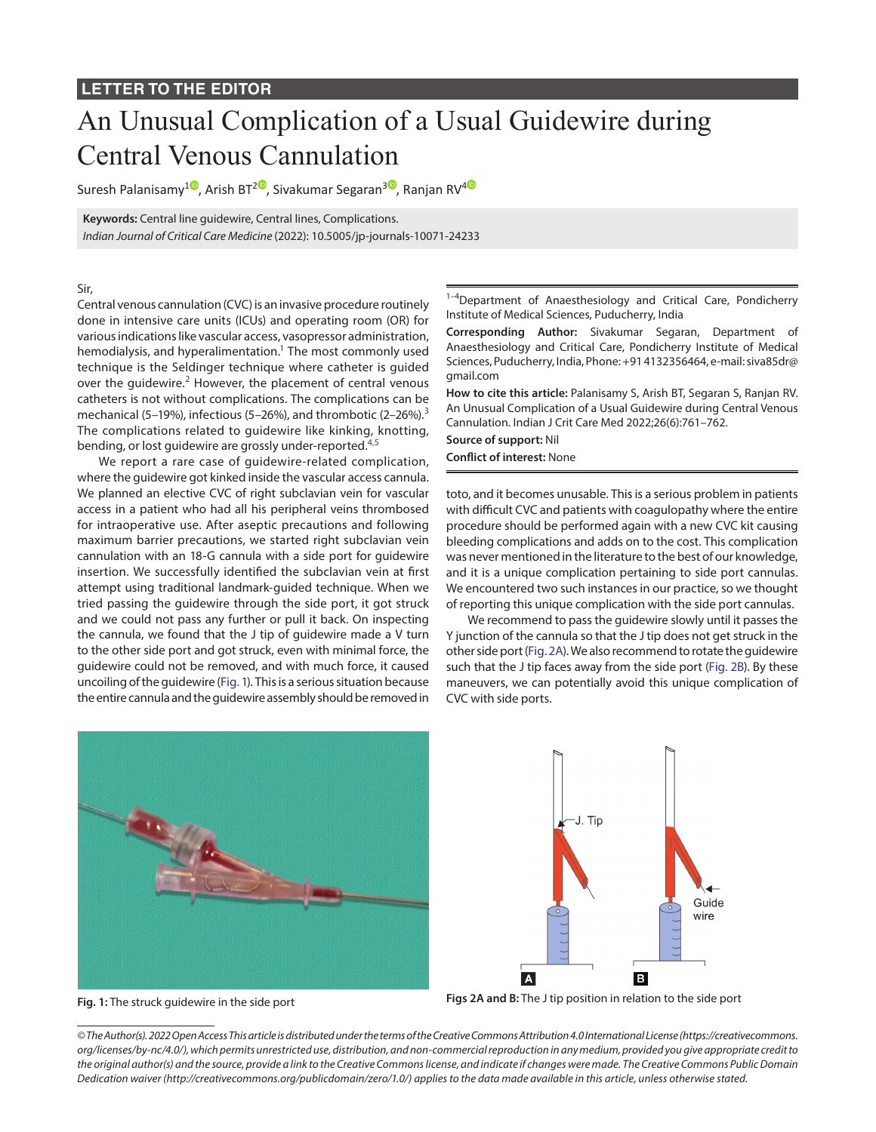## An Unusual Complication of a Usual Guidewire during Central Venous Cannulation

Suresh Palanisamy<sup>10</sup>[,](https://orcid.org/0000-0002-0404-0611) Arish BT<sup>[2](https://orcid.org/0000-0001-5082-7354)0</sup>, Sivakumar Segaran<sup>[3](https://orcid.org/0000-0002-5409-5274)0</sup>, Ranjan RV<sup>[4](https://orcid.org/0000-0002-3323-5696)0</sup>

**Keywords:** Central line guidewire, Central lines, Complications. *Indian Journal of Critical Care Medicine* (2022): 10.5005/jp-journals-10071-24233

Sir,

Central venous cannulation (CVC) is an invasive procedure routinely done in intensive care units (ICUs) and operating room (OR) for various indications like vascular access, vasopressor administration, hemodialysis, and hyperalimentation.<sup>1</sup> The most commonly used technique is the Seldinger technique where catheter is guided over the guidewire. $2$  However, the placement of central venous catheters is not without complications. The complications can be mechanical (5–19%), infectious (5–26%), and thrombotic (2–26%).<sup>[3](#page-1-2)</sup> The complications related to guidewire like kinking, knotting, bending, or lost guidewire are grossly under-reported.<sup>[4](#page-1-3),[5](#page-1-4)</sup>

We report a rare case of guidewire-related complication, where the guidewire got kinked inside the vascular access cannula. We planned an elective CVC of right subclavian vein for vascular access in a patient who had all his peripheral veins thrombosed for intraoperative use. After aseptic precautions and following maximum barrier precautions, we started right subclavian vein cannulation with an 18-G cannula with a side port for guidewire insertion. We successfully identified the subclavian vein at first attempt using traditional landmark-guided technique. When we tried passing the guidewire through the side port, it got struck and we could not pass any further or pull it back. On inspecting the cannula, we found that the J tip of guidewire made a V turn to the other side port and got struck, even with minimal force, the guidewire could not be removed, and with much force, it caused uncoiling of the guidewire (Fig. 1). This is a serious situation because the entire cannula and the guidewire assembly should be removed in

<sup>1-4</sup>Department of Anaesthesiology and Critical Care, Pondicherry Institute of Medical Sciences, Puducherry, India

**Corresponding Author:** Sivakumar Segaran, Department of Anaesthesiology and Critical Care, Pondicherry Institute of Medical Sciences, Puducherry, India, Phone: +91 4132356464, e-mail: siva85dr@ gmail.com

**How to cite this article:** Palanisamy S, Arish BT, Segaran S, Ranjan RV. An Unusual Complication of a Usual Guidewire during Central Venous Cannulation. Indian J Crit Care Med 2022;26(6):761–762.

**Source of support:** Nil

**Conflict of interest:** None

toto, and it becomes unusable. This is a serious problem in patients with difficult CVC and patients with coagulopathy where the entire procedure should be performed again with a new CVC kit causing bleeding complications and adds on to the cost. This complication was never mentioned in the literature to the best of our knowledge, and it is a unique complication pertaining to side port cannulas. We encountered two such instances in our practice, so we thought of reporting this unique complication with the side port cannulas.

We recommend to pass the guidewire slowly until it passes the Y junction of the cannula so that the J tip does not get struck in the other side port [\(Fig. 2A\)](#page-0-0). We also recommend to rotate the guidewire such that the J tip faces away from the side port ([Fig. 2B](#page-0-0)). By these maneuvers, we can potentially avoid this unique complication of CVC with side ports.



 $\vert$  A

**Fig. 1:** The struck guidewire in the side port **Figs 2A and B:** The J tip position in relation to the side port

<span id="page-0-0"></span>B

Guide wire

J. Tin

*© The Author(s). 2022 Open Access This article is distributed under the terms of the Creative Commons Attribution 4.0 International License [\(https://creativecommons.](https://creativecommons.org/licenses/by-nc/4.0/) [org/licenses/by-nc/4.0/](https://creativecommons.org/licenses/by-nc/4.0/)), which permits unrestricted use, distribution, and non-commercial reproduction in any medium, provided you give appropriate credit to the original author(s) and the source, provide a link to the Creative Commons license, and indicate if changes were made. The Creative Commons Public Domain Dedication waiver [\(http://creativecommons.org/publicdomain/zero/1.0/\)](http://creativecommons.org/publicdomain/zero/1.0/) applies to the data made available in this article, unless otherwise stated.*